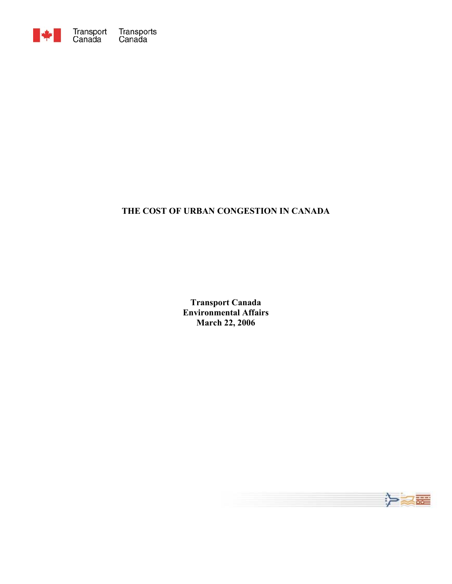

# **THE COST OF URBAN CONGESTION IN CANADA**

**Transport Canada Environmental Affairs March 22, 2006**

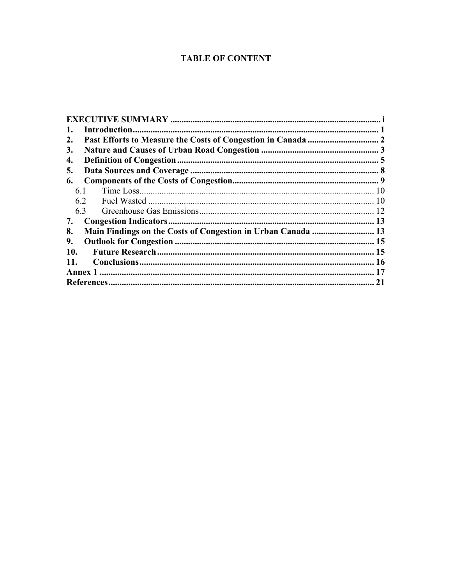# **TABLE OF CONTENT**

| 1.  |    |  |  |  |  |
|-----|----|--|--|--|--|
| 2.  |    |  |  |  |  |
| 3.  |    |  |  |  |  |
| 4.  |    |  |  |  |  |
| 5.  |    |  |  |  |  |
| 6.  |    |  |  |  |  |
| 6.1 |    |  |  |  |  |
| 6.2 |    |  |  |  |  |
| 6.3 |    |  |  |  |  |
| 7.  |    |  |  |  |  |
| 8.  |    |  |  |  |  |
| 9.  |    |  |  |  |  |
| 10. |    |  |  |  |  |
| 11. |    |  |  |  |  |
|     |    |  |  |  |  |
|     | 21 |  |  |  |  |
|     |    |  |  |  |  |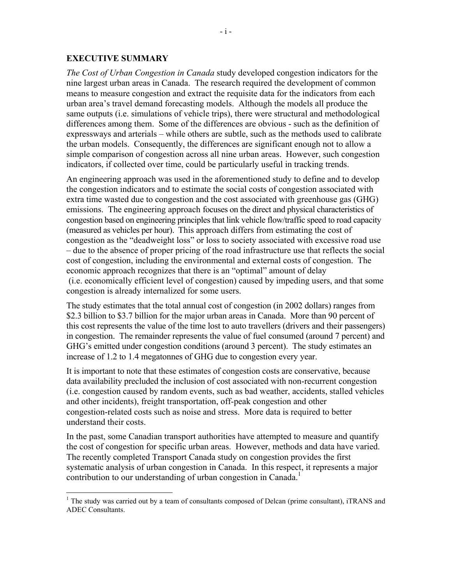#### <span id="page-2-0"></span>**EXECUTIVE SUMMARY**

 $\overline{a}$ 

*The Cost of Urban Congestion in Canada* study developed congestion indicators for the nine largest urban areas in Canada. The research required the development of common means to measure congestion and extract the requisite data for the indicators from each urban area's travel demand forecasting models. Although the models all produce the same outputs (i.e. simulations of vehicle trips), there were structural and methodological differences among them. Some of the differences are obvious - such as the definition of expressways and arterials – while others are subtle, such as the methods used to calibrate the urban models. Consequently, the differences are significant enough not to allow a simple comparison of congestion across all nine urban areas. However, such congestion indicators, if collected over time, could be particularly useful in tracking trends.

An engineering approach was used in the aforementioned study to define and to develop the congestion indicators and to estimate the social costs of congestion associated with extra time wasted due to congestion and the cost associated with greenhouse gas (GHG) emissions. The engineering approach focuses on the direct and physical characteristics of congestion based on engineering principles that link vehicle flow/traffic speed to road capacity (measured as vehicles per hour). This approach differs from estimating the cost of congestion as the "deadweight loss" or loss to society associated with excessive road use – due to the absence of proper pricing of the road infrastructure use that reflects the social cost of congestion, including the environmental and external costs of congestion. The economic approach recognizes that there is an "optimal" amount of delay (i.e. economically efficient level of congestion) caused by impeding users, and that some congestion is already internalized for some users.

The study estimates that the total annual cost of congestion (in 2002 dollars) ranges from \$2.3 billion to \$3.7 billion for the major urban areas in Canada. More than 90 percent of this cost represents the value of the time lost to auto travellers (drivers and their passengers) in congestion. The remainder represents the value of fuel consumed (around 7 percent) and GHG's emitted under congestion conditions (around 3 percent). The study estimates an increase of 1.2 to 1.4 megatonnes of GHG due to congestion every year.

It is important to note that these estimates of congestion costs are conservative, because data availability precluded the inclusion of cost associated with non-recurrent congestion (i.e. congestion caused by random events, such as bad weather, accidents, stalled vehicles and other incidents), freight transportation, off-peak congestion and other congestion-related costs such as noise and stress. More data is required to better understand their costs.

In the past, some Canadian transport authorities have attempted to measure and quantify the cost of congestion for specific urban areas. However, methods and data have varied. The recently completed Transport Canada study on congestion provides the first systematic analysis of urban congestion in Canada. In this respect, it represents a major contribution to our understanding of urban congestion in Canada.<sup>1</sup>

 $<sup>1</sup>$  The study was carried out by a team of consultants composed of Delcan (prime consultant), iTRANS and</sup> ADEC Consultants.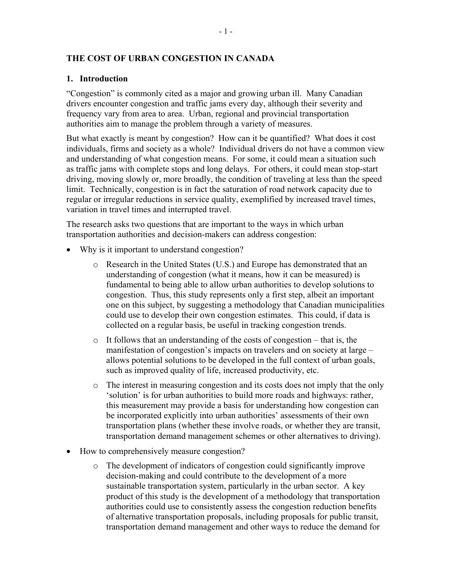### <span id="page-3-0"></span>**THE COST OF URBAN CONGESTION IN CANADA**

#### **1. Introduction**

"Congestion" is commonly cited as a major and growing urban ill. Many Canadian drivers encounter congestion and traffic jams every day, although their severity and frequency vary from area to area. Urban, regional and provincial transportation authorities aim to manage the problem through a variety of measures.

But what exactly is meant by congestion? How can it be quantified? What does it cost individuals, firms and society as a whole? Individual drivers do not have a common view and understanding of what congestion means. For some, it could mean a situation such as traffic jams with complete stops and long delays. For others, it could mean stop-start driving, moving slowly or, more broadly, the condition of traveling at less than the speed limit. Technically, congestion is in fact the saturation of road network capacity due to regular or irregular reductions in service quality, exemplified by increased travel times, variation in travel times and interrupted travel.

The research asks two questions that are important to the ways in which urban transportation authorities and decision-makers can address congestion:

- Why is it important to understand congestion?
	- o Research in the United States (U.S.) and Europe has demonstrated that an understanding of congestion (what it means, how it can be measured) is fundamental to being able to allow urban authorities to develop solutions to congestion. Thus, this study represents only a first step, albeit an important one on this subject, by suggesting a methodology that Canadian municipalities could use to develop their own congestion estimates. This could, if data is collected on a regular basis, be useful in tracking congestion trends.
	- o It follows that an understanding of the costs of congestion that is, the manifestation of congestion's impacts on travelers and on society at large – allows potential solutions to be developed in the full context of urban goals, such as improved quality of life, increased productivity, etc.
	- o The interest in measuring congestion and its costs does not imply that the only 'solution' is for urban authorities to build more roads and highways: rather, this measurement may provide a basis for understanding how congestion can be incorporated explicitly into urban authorities' assessments of their own transportation plans (whether these involve roads, or whether they are transit, transportation demand management schemes or other alternatives to driving).
- How to comprehensively measure congestion?
	- o The development of indicators of congestion could significantly improve decision-making and could contribute to the development of a more sustainable transportation system, particularly in the urban sector. A key product of this study is the development of a methodology that transportation authorities could use to consistently assess the congestion reduction benefits of alternative transportation proposals, including proposals for public transit, transportation demand management and other ways to reduce the demand for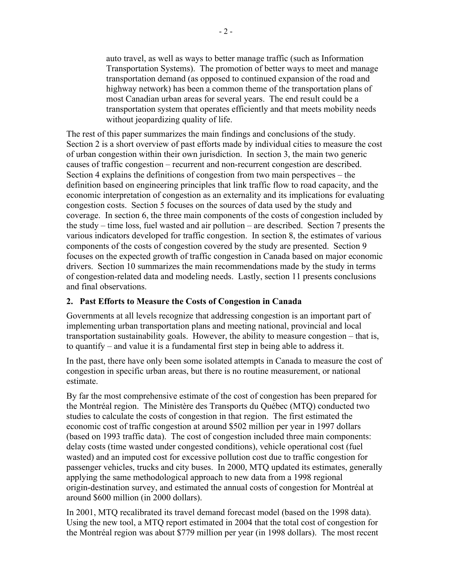<span id="page-4-0"></span>auto travel, as well as ways to better manage traffic (such as Information Transportation Systems). The promotion of better ways to meet and manage transportation demand (as opposed to continued expansion of the road and highway network) has been a common theme of the transportation plans of most Canadian urban areas for several years. The end result could be a transportation system that operates efficiently and that meets mobility needs without jeopardizing quality of life.

The rest of this paper summarizes the main findings and conclusions of the study. Section 2 is a short overview of past efforts made by individual cities to measure the cost of urban congestion within their own jurisdiction. In section 3, the main two generic causes of traffic congestion – recurrent and non-recurrent congestion are described. Section 4 explains the definitions of congestion from two main perspectives – the definition based on engineering principles that link traffic flow to road capacity, and the economic interpretation of congestion as an externality and its implications for evaluating congestion costs. Section 5 focuses on the sources of data used by the study and coverage. In section 6, the three main components of the costs of congestion included by the study – time loss, fuel wasted and air pollution – are described. Section 7 presents the various indicators developed for traffic congestion. In section 8, the estimates of various components of the costs of congestion covered by the study are presented. Section 9 focuses on the expected growth of traffic congestion in Canada based on major economic drivers. Section 10 summarizes the main recommendations made by the study in terms of congestion-related data and modeling needs. Lastly, section 11 presents conclusions and final observations.

#### **2. Past Efforts to Measure the Costs of Congestion in Canada**

Governments at all levels recognize that addressing congestion is an important part of implementing urban transportation plans and meeting national, provincial and local transportation sustainability goals. However, the ability to measure congestion – that is, to quantify – and value it is a fundamental first step in being able to address it.

In the past, there have only been some isolated attempts in Canada to measure the cost of congestion in specific urban areas, but there is no routine measurement, or national estimate.

By far the most comprehensive estimate of the cost of congestion has been prepared for the Montréal region. The Ministère des Transports du Québec (MTQ) conducted two studies to calculate the costs of congestion in that region. The first estimated the economic cost of traffic congestion at around \$502 million per year in 1997 dollars (based on 1993 traffic data). The cost of congestion included three main components: delay costs (time wasted under congested conditions), vehicle operational cost (fuel wasted) and an imputed cost for excessive pollution cost due to traffic congestion for passenger vehicles, trucks and city buses. In 2000, MTQ updated its estimates, generally applying the same methodological approach to new data from a 1998 regional origin-destination survey, and estimated the annual costs of congestion for Montréal at around \$600 million (in 2000 dollars).

In 2001, MTQ recalibrated its travel demand forecast model (based on the 1998 data). Using the new tool, a MTQ report estimated in 2004 that the total cost of congestion for the Montréal region was about \$779 million per year (in 1998 dollars). The most recent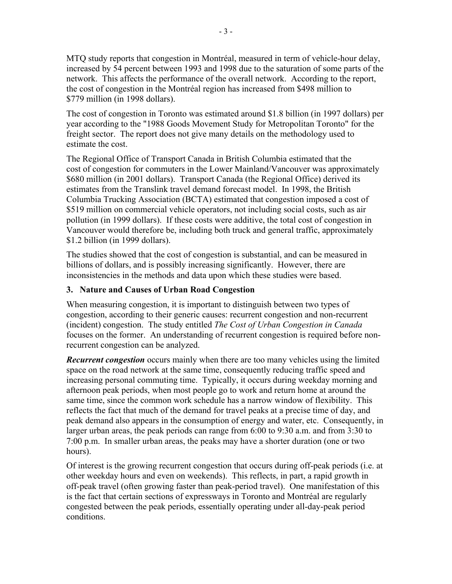<span id="page-5-0"></span>MTQ study reports that congestion in Montréal, measured in term of vehicle-hour delay, increased by 54 percent between 1993 and 1998 due to the saturation of some parts of the network. This affects the performance of the overall network. According to the report, the cost of congestion in the Montréal region has increased from \$498 million to \$779 million (in 1998 dollars).

The cost of congestion in Toronto was estimated around \$1.8 billion (in 1997 dollars) per year according to the "1988 Goods Movement Study for Metropolitan Toronto" for the freight sector. The report does not give many details on the methodology used to estimate the cost.

The Regional Office of Transport Canada in British Columbia estimated that the cost of congestion for commuters in the Lower Mainland/Vancouver was approximately \$680 million (in 2001 dollars). Transport Canada (the Regional Office) derived its estimates from the Translink travel demand forecast model. In 1998, the British Columbia Trucking Association (BCTA) estimated that congestion imposed a cost of \$519 million on commercial vehicle operators, not including social costs, such as air pollution (in 1999 dollars). If these costs were additive, the total cost of congestion in Vancouver would therefore be, including both truck and general traffic, approximately \$1.2 billion (in 1999 dollars).

The studies showed that the cost of congestion is substantial, and can be measured in billions of dollars, and is possibly increasing significantly. However, there are inconsistencies in the methods and data upon which these studies were based.

### **3. Nature and Causes of Urban Road Congestion**

When measuring congestion, it is important to distinguish between two types of congestion, according to their generic causes: recurrent congestion and non-recurrent (incident) congestion. The study entitled *The Cost of Urban Congestion in Canada*  focuses on the former. An understanding of recurrent congestion is required before nonrecurrent congestion can be analyzed.

*Recurrent congestion* occurs mainly when there are too many vehicles using the limited space on the road network at the same time, consequently reducing traffic speed and increasing personal commuting time. Typically, it occurs during weekday morning and afternoon peak periods, when most people go to work and return home at around the same time, since the common work schedule has a narrow window of flexibility. This reflects the fact that much of the demand for travel peaks at a precise time of day, and peak demand also appears in the consumption of energy and water, etc. Consequently, in larger urban areas, the peak periods can range from 6:00 to 9:30 a.m. and from 3:30 to 7:00 p.m. In smaller urban areas, the peaks may have a shorter duration (one or two hours).

Of interest is the growing recurrent congestion that occurs during off-peak periods (i.e. at other weekday hours and even on weekends). This reflects, in part, a rapid growth in off-peak travel (often growing faster than peak-period travel). One manifestation of this is the fact that certain sections of expressways in Toronto and Montréal are regularly congested between the peak periods, essentially operating under all-day-peak period conditions.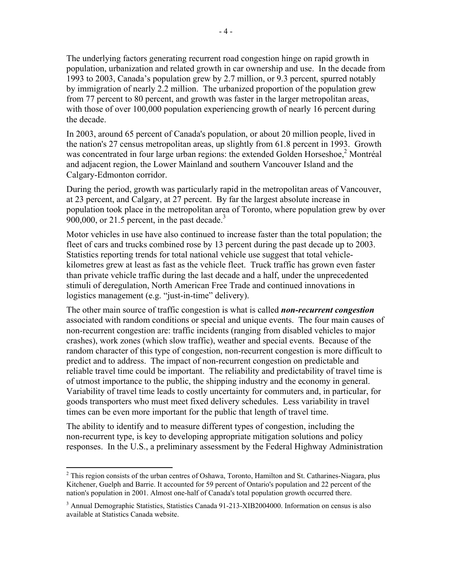The underlying factors generating recurrent road congestion hinge on rapid growth in population, urbanization and related growth in car ownership and use. In the decade from 1993 to 2003, Canada's population grew by 2.7 million, or 9.3 percent, spurred notably by immigration of nearly 2.2 million. The urbanized proportion of the population grew from 77 percent to 80 percent, and growth was faster in the larger metropolitan areas, with those of over 100,000 population experiencing growth of nearly 16 percent during the decade.

In 2003, around 65 percent of Canada's population, or about 20 million people, lived in the nation's 27 census metropolitan areas, up slightly from 61.8 percent in 1993. Growth was concentrated in four large urban regions: the extended Golden Horseshoe,<sup>2</sup> Montréal and adjacent region, the Lower Mainland and southern Vancouver Island and the Calgary-Edmonton corridor.

During the period, growth was particularly rapid in the metropolitan areas of Vancouver, at 23 percent, and Calgary, at 27 percent. By far the largest absolute increase in population took place in the metropolitan area of Toronto, where population grew by over  $900,000$ , or 21.5 percent, in the past decade.<sup>3</sup>

Motor vehicles in use have also continued to increase faster than the total population; the fleet of cars and trucks combined rose by 13 percent during the past decade up to 2003. Statistics reporting trends for total national vehicle use suggest that total vehiclekilometres grew at least as fast as the vehicle fleet. Truck traffic has grown even faster than private vehicle traffic during the last decade and a half, under the unprecedented stimuli of deregulation, North American Free Trade and continued innovations in logistics management (e.g. "just-in-time" delivery).

The other main source of traffic congestion is what is called *non-recurrent congestion* associated with random conditions or special and unique events. The four main causes of non-recurrent congestion are: traffic incidents (ranging from disabled vehicles to major crashes), work zones (which slow traffic), weather and special events. Because of the random character of this type of congestion, non-recurrent congestion is more difficult to predict and to address. The impact of non-recurrent congestion on predictable and reliable travel time could be important. The reliability and predictability of travel time is of utmost importance to the public, the shipping industry and the economy in general. Variability of travel time leads to costly uncertainty for commuters and, in particular, for goods transporters who must meet fixed delivery schedules. Less variability in travel times can be even more important for the public that length of travel time.

The ability to identify and to measure different types of congestion, including the non-recurrent type, is key to developing appropriate mitigation solutions and policy responses. In the U.S., a preliminary assessment by the Federal Highway Administration

1

<sup>&</sup>lt;sup>2</sup> This region consists of the urban centres of Oshawa, Toronto, Hamilton and St. Catharines-Niagara, plus Kitchener, Guelph and Barrie. It accounted for 59 percent of Ontario's population and 22 percent of the nation's population in 2001. Almost one-half of Canada's total population growth occurred there.

<sup>&</sup>lt;sup>3</sup> Annual Demographic Statistics, Statistics Canada 91-213-XIB2004000. Information on census is also available at Statistics Canada website.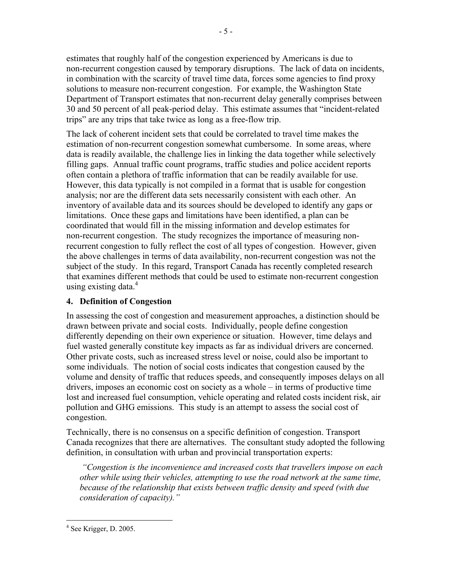<span id="page-7-0"></span>estimates that roughly half of the congestion experienced by Americans is due to non-recurrent congestion caused by temporary disruptions. The lack of data on incidents, in combination with the scarcity of travel time data, forces some agencies to find proxy solutions to measure non-recurrent congestion. For example, the Washington State Department of Transport estimates that non-recurrent delay generally comprises between 30 and 50 percent of all peak-period delay. This estimate assumes that "incident-related trips" are any trips that take twice as long as a free-flow trip.

The lack of coherent incident sets that could be correlated to travel time makes the estimation of non-recurrent congestion somewhat cumbersome. In some areas, where data is readily available, the challenge lies in linking the data together while selectively filling gaps. Annual traffic count programs, traffic studies and police accident reports often contain a plethora of traffic information that can be readily available for use. However, this data typically is not compiled in a format that is usable for congestion analysis; nor are the different data sets necessarily consistent with each other. An inventory of available data and its sources should be developed to identify any gaps or limitations. Once these gaps and limitations have been identified, a plan can be coordinated that would fill in the missing information and develop estimates for non-recurrent congestion. The study recognizes the importance of measuring nonrecurrent congestion to fully reflect the cost of all types of congestion. However, given the above challenges in terms of data availability, non-recurrent congestion was not the subject of the study. In this regard, Transport Canada has recently completed research that examines different methods that could be used to estimate non-recurrent congestion using existing data. $4$ 

#### **4. Definition of Congestion**

In assessing the cost of congestion and measurement approaches, a distinction should be drawn between private and social costs. Individually, people define congestion differently depending on their own experience or situation. However, time delays and fuel wasted generally constitute key impacts as far as individual drivers are concerned. Other private costs, such as increased stress level or noise, could also be important to some individuals. The notion of social costs indicates that congestion caused by the volume and density of traffic that reduces speeds, and consequently imposes delays on all drivers, imposes an economic cost on society as a whole – in terms of productive time lost and increased fuel consumption, vehicle operating and related costs incident risk, air pollution and GHG emissions. This study is an attempt to assess the social cost of congestion.

Technically, there is no consensus on a specific definition of congestion. Transport Canada recognizes that there are alternatives. The consultant study adopted the following definition, in consultation with urban and provincial transportation experts:

*"Congestion is the inconvenience and increased costs that travellers impose on each other while using their vehicles, attempting to use the road network at the same time, because of the relationship that exists between traffic density and speed (with due consideration of capacity)."* 

 $4$  See Krigger, D. 2005.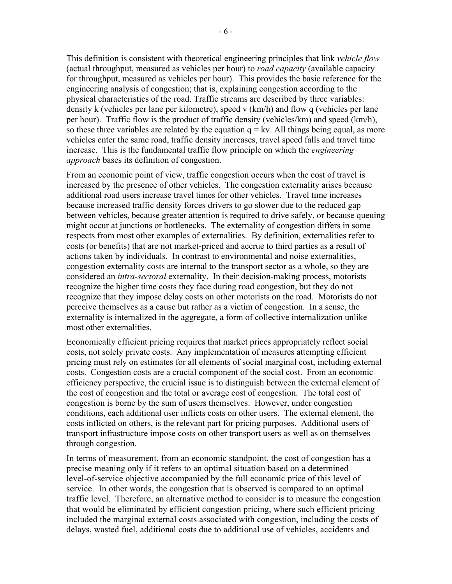This definition is consistent with theoretical engineering principles that link *vehicle flow* (actual throughput, measured as vehicles per hour) to *road capacity* (available capacity for throughput, measured as vehicles per hour). This provides the basic reference for the engineering analysis of congestion; that is, explaining congestion according to the physical characteristics of the road. Traffic streams are described by three variables: density k (vehicles per lane per kilometre), speed v (km/h) and flow q (vehicles per lane per hour). Traffic flow is the product of traffic density (vehicles/km) and speed (km/h), so these three variables are related by the equation  $q = kv$ . All things being equal, as more vehicles enter the same road, traffic density increases, travel speed falls and travel time increase. This is the fundamental traffic flow principle on which the *engineering approach* bases its definition of congestion.

From an economic point of view, traffic congestion occurs when the cost of travel is increased by the presence of other vehicles. The congestion externality arises because additional road users increase travel times for other vehicles. Travel time increases because increased traffic density forces drivers to go slower due to the reduced gap between vehicles, because greater attention is required to drive safely, or because queuing might occur at junctions or bottlenecks. The externality of congestion differs in some respects from most other examples of externalities. By definition, externalities refer to costs (or benefits) that are not market-priced and accrue to third parties as a result of actions taken by individuals. In contrast to environmental and noise externalities, congestion externality costs are internal to the transport sector as a whole, so they are considered an *intra-sectoral* externality. In their decision-making process, motorists recognize the higher time costs they face during road congestion, but they do not recognize that they impose delay costs on other motorists on the road. Motorists do not perceive themselves as a cause but rather as a victim of congestion. In a sense, the externality is internalized in the aggregate, a form of collective internalization unlike most other externalities.

Economically efficient pricing requires that market prices appropriately reflect social costs, not solely private costs. Any implementation of measures attempting efficient pricing must rely on estimates for all elements of social marginal cost, including external costs. Congestion costs are a crucial component of the social cost. From an economic efficiency perspective, the crucial issue is to distinguish between the external element of the cost of congestion and the total or average cost of congestion. The total cost of congestion is borne by the sum of users themselves. However, under congestion conditions, each additional user inflicts costs on other users. The external element, the costs inflicted on others, is the relevant part for pricing purposes. Additional users of transport infrastructure impose costs on other transport users as well as on themselves through congestion.

In terms of measurement, from an economic standpoint, the cost of congestion has a precise meaning only if it refers to an optimal situation based on a determined level-of-service objective accompanied by the full economic price of this level of service. In other words, the congestion that is observed is compared to an optimal traffic level. Therefore, an alternative method to consider is to measure the congestion that would be eliminated by efficient congestion pricing, where such efficient pricing included the marginal external costs associated with congestion, including the costs of delays, wasted fuel, additional costs due to additional use of vehicles, accidents and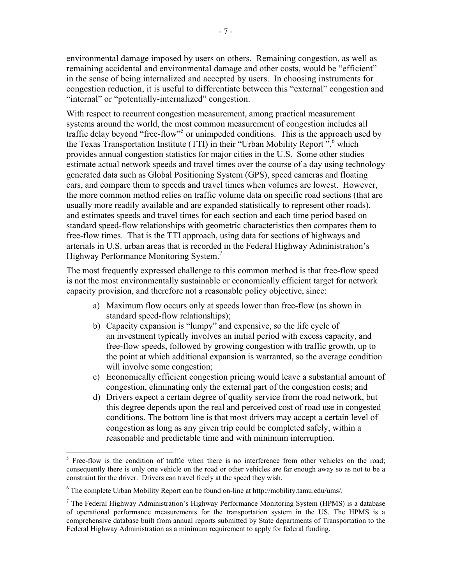environmental damage imposed by users on others. Remaining congestion, as well as remaining accidental and environmental damage and other costs, would be "efficient" in the sense of being internalized and accepted by users. In choosing instruments for congestion reduction, it is useful to differentiate between this "external" congestion and "internal" or "potentially-internalized" congestion.

With respect to recurrent congestion measurement, among practical measurement systems around the world, the most common measurement of congestion includes all traffic delay beyond "free-flow"<sup>5</sup> or unimpeded conditions. This is the approach used by the Texas Transportation Institute (TTI) in their "Urban Mobility Report", which provides annual congestion statistics for major cities in the U.S. Some other studies estimate actual network speeds and travel times over the course of a day using technology generated data such as Global Positioning System (GPS), speed cameras and floating cars, and compare them to speeds and travel times when volumes are lowest. However, the more common method relies on traffic volume data on specific road sections (that are usually more readily available and are expanded statistically to represent other roads), and estimates speeds and travel times for each section and each time period based on standard speed-flow relationships with geometric characteristics then compares them to free-flow times. That is the TTI approach, using data for sections of highways and arterials in U.S. urban areas that is recorded in the Federal Highway Administration's Highway Performance Monitoring System.<sup>7</sup>

The most frequently expressed challenge to this common method is that free-flow speed is not the most environmentally sustainable or economically efficient target for network capacity provision, and therefore not a reasonable policy objective, since:

- a) Maximum flow occurs only at speeds lower than free-flow (as shown in standard speed-flow relationships);
- b) Capacity expansion is "lumpy" and expensive, so the life cycle of an investment typically involves an initial period with excess capacity, and free-flow speeds, followed by growing congestion with traffic growth, up to the point at which additional expansion is warranted, so the average condition will involve some congestion;
- c) Economically efficient congestion pricing would leave a substantial amount of congestion, eliminating only the external part of the congestion costs; and
- d) Drivers expect a certain degree of quality service from the road network, but this degree depends upon the real and perceived cost of road use in congested conditions. The bottom line is that most drivers may accept a certain level of congestion as long as any given trip could be completed safely, within a reasonable and predictable time and with minimum interruption.

1

<sup>&</sup>lt;sup>5</sup> Free-flow is the condition of traffic when there is no interference from other vehicles on the road; consequently there is only one vehicle on the road or other vehicles are far enough away so as not to be a constraint for the driver. Drivers can travel freely at the speed they wish.

 $6$  The complete Urban Mobility Report can be found on-line at http://mobility.tamu.edu/ums/.

 $<sup>7</sup>$  The Federal Highway Administration's Highway Performance Monitoring System (HPMS) is a database</sup> of operational performance measurements for the transportation system in the US. The HPMS is a comprehensive database built from annual reports submitted by State departments of Transportation to the Federal Highway Administration as a minimum requirement to apply for federal funding.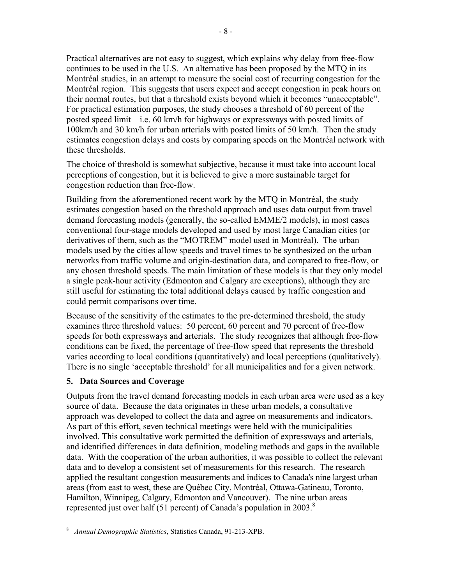<span id="page-10-0"></span>Practical alternatives are not easy to suggest, which explains why delay from free-flow continues to be used in the U.S. An alternative has been proposed by the MTQ in its Montréal studies, in an attempt to measure the social cost of recurring congestion for the Montréal region. This suggests that users expect and accept congestion in peak hours on their normal routes, but that a threshold exists beyond which it becomes "unacceptable". For practical estimation purposes, the study chooses a threshold of 60 percent of the posted speed limit – i.e. 60 km/h for highways or expressways with posted limits of 100km/h and 30 km/h for urban arterials with posted limits of 50 km/h. Then the study estimates congestion delays and costs by comparing speeds on the Montréal network with these thresholds.

The choice of threshold is somewhat subjective, because it must take into account local perceptions of congestion, but it is believed to give a more sustainable target for congestion reduction than free-flow.

Building from the aforementioned recent work by the MTQ in Montréal, the study estimates congestion based on the threshold approach and uses data output from travel demand forecasting models (generally, the so-called EMME/2 models), in most cases conventional four-stage models developed and used by most large Canadian cities (or derivatives of them, such as the "MOTREM" model used in Montréal). The urban models used by the cities allow speeds and travel times to be synthesized on the urban networks from traffic volume and origin-destination data, and compared to free-flow, or any chosen threshold speeds. The main limitation of these models is that they only model a single peak-hour activity (Edmonton and Calgary are exceptions), although they are still useful for estimating the total additional delays caused by traffic congestion and could permit comparisons over time.

Because of the sensitivity of the estimates to the pre-determined threshold, the study examines three threshold values: 50 percent, 60 percent and 70 percent of free-flow speeds for both expressways and arterials. The study recognizes that although free-flow conditions can be fixed, the percentage of free-flow speed that represents the threshold varies according to local conditions (quantitatively) and local perceptions (qualitatively). There is no single 'acceptable threshold' for all municipalities and for a given network.

### **5. Data Sources and Coverage**

Outputs from the travel demand forecasting models in each urban area were used as a key source of data. Because the data originates in these urban models, a consultative approach was developed to collect the data and agree on measurements and indicators. As part of this effort, seven technical meetings were held with the municipalities involved. This consultative work permitted the definition of expressways and arterials, and identified differences in data definition, modeling methods and gaps in the available data. With the cooperation of the urban authorities, it was possible to collect the relevant data and to develop a consistent set of measurements for this research. The research applied the resultant congestion measurements and indices to Canada's nine largest urban areas (from east to west, these are Québec City, Montréal, Ottawa-Gatineau, Toronto, Hamilton, Winnipeg, Calgary, Edmonton and Vancouver). The nine urban areas represented just over half (51 percent) of Canada's population in 2003.<sup>8</sup>

 $\overline{a}$ <sup>8</sup> *Annual Demographic Statistics*, Statistics Canada, 91-213-XPB.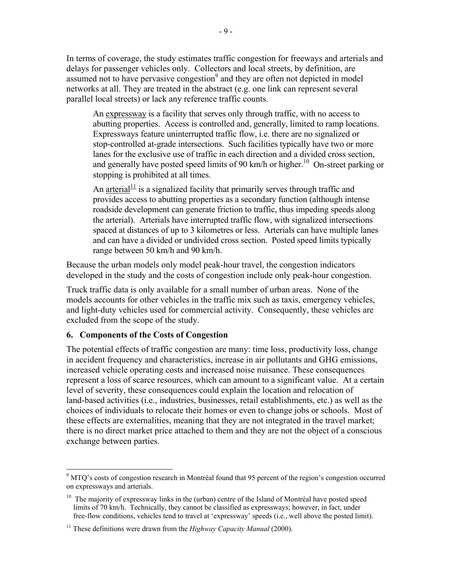<span id="page-11-0"></span>In terms of coverage, the study estimates traffic congestion for freeways and arterials and delays for passenger vehicles only. Collectors and local streets, by definition, are assumed not to have pervasive congestion<sup>9</sup> and they are often not depicted in model networks at all. They are treated in the abstract (e.g. one link can represent several parallel local streets) or lack any reference traffic counts.

An expressway is a facility that serves only through traffic, with no access to abutting properties. Access is controlled and, generally, limited to ramp locations. Expressways feature uninterrupted traffic flow, i.e. there are no signalized or stop-controlled at-grade intersections. Such facilities typically have two or more lanes for the exclusive use of traffic in each direction and a divided cross section, and generally have posted speed limits of 90 km/h or higher.<sup>10</sup> On-street parking or stopping is prohibited at all times.

An  $\arctan^{-1/2}$  is a signalized facility that primarily serves through traffic and provides access to abutting properties as a secondary function (although intense roadside development can generate friction to traffic, thus impeding speeds along the arterial). Arterials have interrupted traffic flow, with signalized intersections spaced at distances of up to 3 kilometres or less. Arterials can have multiple lanes and can have a divided or undivided cross section. Posted speed limits typically range between 50 km/h and 90 km/h.

Because the urban models only model peak-hour travel, the congestion indicators developed in the study and the costs of congestion include only peak-hour congestion.

Truck traffic data is only available for a small number of urban areas. None of the models accounts for other vehicles in the traffic mix such as taxis, emergency vehicles, and light-duty vehicles used for commercial activity. Consequently, these vehicles are excluded from the scope of the study.

#### **6. Components of the Costs of Congestion**

 $\overline{a}$ 

The potential effects of traffic congestion are many: time loss, productivity loss, change in accident frequency and characteristics, increase in air pollutants and GHG emissions, increased vehicle operating costs and increased noise nuisance. These consequences represent a loss of scarce resources, which can amount to a significant value. At a certain level of severity, these consequences could explain the location and relocation of land-based activities (i.e., industries, businesses, retail establishments, etc.) as well as the choices of individuals to relocate their homes or even to change jobs or schools. Most of these effects are externalities, meaning that they are not integrated in the travel market; there is no direct market price attached to them and they are not the object of a conscious exchange between parties.

<sup>&</sup>lt;sup>9</sup> MTQ's costs of congestion research in Montréal found that 95 percent of the region's congestion occurred on expressways and arterials.

 $10$  The majority of expressway links in the (urban) centre of the Island of Montréal have posted speed limits of 70 km/h. Technically, they cannot be classified as expressways; however, in fact, under free-flow conditions, vehicles tend to travel at 'expressway' speeds (i.e., well above the posted limit).

<sup>11</sup> These definitions were drawn from the *Highway Capacity Manual* (2000).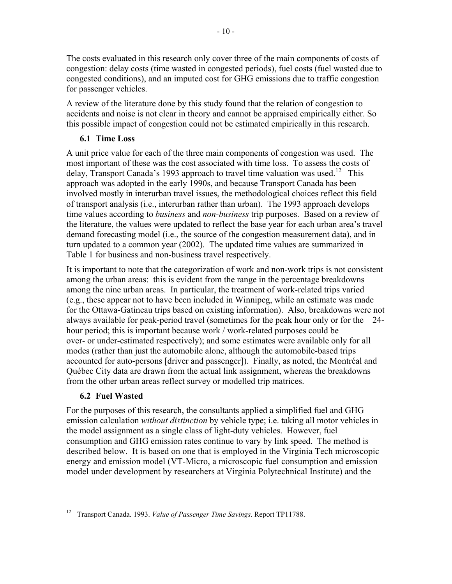<span id="page-12-0"></span>The costs evaluated in this research only cover three of the main components of costs of congestion: delay costs (time wasted in congested periods), fuel costs (fuel wasted due to congested conditions), and an imputed cost for GHG emissions due to traffic congestion for passenger vehicles.

A review of the literature done by this study found that the relation of congestion to accidents and noise is not clear in theory and cannot be appraised empirically either. So this possible impact of congestion could not be estimated empirically in this research.

### **6.1 Time Loss**

A unit price value for each of the three main components of congestion was used. The most important of these was the cost associated with time loss. To assess the costs of delay, Transport Canada's 1993 approach to travel time valuation was used.<sup>12</sup> This approach was adopted in the early 1990s, and because Transport Canada has been involved mostly in interurban travel issues, the methodological choices reflect this field of transport analysis (i.e., interurban rather than urban). The 1993 approach develops time values according to *business* and *non-business* trip purposes. Based on a review of the literature, the values were updated to reflect the base year for each urban area's travel demand forecasting model (i.e., the source of the congestion measurement data), and in turn updated to a common year (2002). The updated time values are summarized in Table 1 for business and non-business travel respectively.

It is important to note that the categorization of work and non-work trips is not consistent among the urban areas: this is evident from the range in the percentage breakdowns among the nine urban areas. In particular, the treatment of work-related trips varied (e.g., these appear not to have been included in Winnipeg, while an estimate was made for the Ottawa-Gatineau trips based on existing information). Also, breakdowns were not always available for peak-period travel (sometimes for the peak hour only or for the 24 hour period; this is important because work / work-related purposes could be over- or under-estimated respectively); and some estimates were available only for all modes (rather than just the automobile alone, although the automobile-based trips accounted for auto-persons [driver and passenger]). Finally, as noted, the Montréal and Québec City data are drawn from the actual link assignment, whereas the breakdowns from the other urban areas reflect survey or modelled trip matrices.

### **6.2 Fuel Wasted**

For the purposes of this research, the consultants applied a simplified fuel and GHG emission calculation *without distinction* by vehicle type; i.e. taking all motor vehicles in the model assignment as a single class of light-duty vehicles. However, fuel consumption and GHG emission rates continue to vary by link speed. The method is described below. It is based on one that is employed in the Virginia Tech microscopic energy and emission model (VT-Micro, a microscopic fuel consumption and emission model under development by researchers at Virginia Polytechnical Institute) and the

 $\overline{a}$ <sup>12</sup> Transport Canada. 1993. *Value of Passenger Time Savings*. Report TP11788.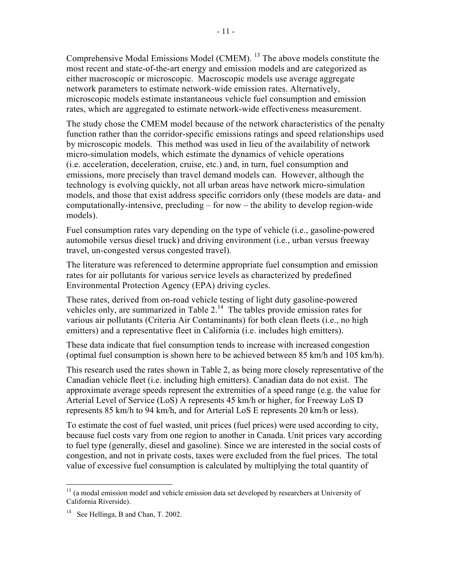Comprehensive Modal Emissions Model (CMEM). <sup>13</sup> The above models constitute the most recent and state-of-the-art energy and emission models and are categorized as either macroscopic or microscopic. Macroscopic models use average aggregate network parameters to estimate network-wide emission rates. Alternatively, microscopic models estimate instantaneous vehicle fuel consumption and emission rates, which are aggregated to estimate network-wide effectiveness measurement.

The study chose the CMEM model because of the network characteristics of the penalty function rather than the corridor-specific emissions ratings and speed relationships used by microscopic models. This method was used in lieu of the availability of network micro-simulation models, which estimate the dynamics of vehicle operations (i.e. acceleration, deceleration, cruise, etc.) and, in turn, fuel consumption and emissions, more precisely than travel demand models can. However, although the technology is evolving quickly, not all urban areas have network micro-simulation models, and those that exist address specific corridors only (these models are data- and computationally-intensive, precluding – for now – the ability to develop region-wide models).

Fuel consumption rates vary depending on the type of vehicle (i.e., gasoline-powered automobile versus diesel truck) and driving environment (i.e., urban versus freeway travel, un-congested versus congested travel).

The literature was referenced to determine appropriate fuel consumption and emission rates for air pollutants for various service levels as characterized by predefined Environmental Protection Agency (EPA) driving cycles.

These rates, derived from on-road vehicle testing of light duty gasoline-powered vehicles only, are summarized in Table 2. <sup>14</sup> The tables provide emission rates for various air pollutants (Criteria Air Contaminants) for both clean fleets (i.e., no high emitters) and a representative fleet in California (i.e. includes high emitters).

These data indicate that fuel consumption tends to increase with increased congestion (optimal fuel consumption is shown here to be achieved between 85 km/h and 105 km/h).

This research used the rates shown in Table 2, as being more closely representative of the Canadian vehicle fleet (i.e. including high emitters). Canadian data do not exist. The approximate average speeds represent the extremities of a speed range (e.g. the value for Arterial Level of Service (LoS) A represents 45 km/h or higher, for Freeway LoS D represents 85 km/h to 94 km/h, and for Arterial LoS E represents 20 km/h or less).

To estimate the cost of fuel wasted, unit prices (fuel prices) were used according to city, because fuel costs vary from one region to another in Canada. Unit prices vary according to fuel type (generally, diesel and gasoline). Since we are interested in the social costs of congestion, and not in private costs, taxes were excluded from the fuel prices. The total value of excessive fuel consumption is calculated by multiplying the total quantity of

<sup>&</sup>lt;sup>13</sup> (a modal emission model and vehicle emission data set developed by researchers at University of California Riverside).

<sup>&</sup>lt;sup>14</sup> See Hellinga, B and Chan, T. 2002.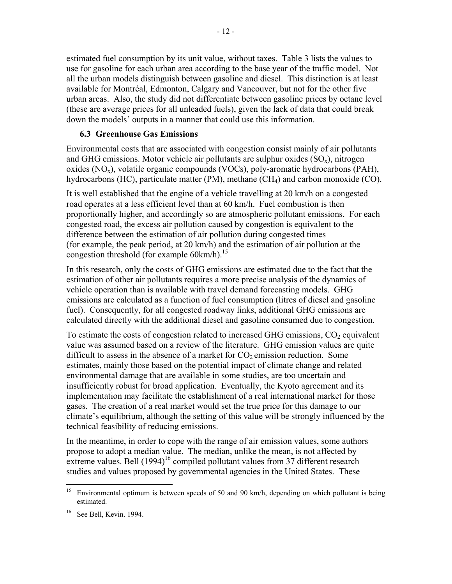<span id="page-14-0"></span>estimated fuel consumption by its unit value, without taxes. Table 3 lists the values to use for gasoline for each urban area according to the base year of the traffic model. Not all the urban models distinguish between gasoline and diesel. This distinction is at least available for Montréal, Edmonton, Calgary and Vancouver, but not for the other five urban areas. Also, the study did not differentiate between gasoline prices by octane level (these are average prices for all unleaded fuels), given the lack of data that could break down the models' outputs in a manner that could use this information.

### **6.3 Greenhouse Gas Emissions**

Environmental costs that are associated with congestion consist mainly of air pollutants and GHG emissions. Motor vehicle air pollutants are sulphur oxides  $(SO<sub>x</sub>)$ , nitrogen oxides ( $NO<sub>x</sub>$ ), volatile organic compounds ( $VOCs$ ), poly-aromatic hydrocarbons (PAH), hydrocarbons (HC), particulate matter (PM), methane (CH<sub>4</sub>) and carbon monoxide (CO).

It is well established that the engine of a vehicle travelling at 20 km/h on a congested road operates at a less efficient level than at 60 km/h. Fuel combustion is then proportionally higher, and accordingly so are atmospheric pollutant emissions. For each congested road, the excess air pollution caused by congestion is equivalent to the difference between the estimation of air pollution during congested times (for example, the peak period, at 20 km/h) and the estimation of air pollution at the congestion threshold (for example 60km/h). 15

In this research, only the costs of GHG emissions are estimated due to the fact that the estimation of other air pollutants requires a more precise analysis of the dynamics of vehicle operation than is available with travel demand forecasting models. GHG emissions are calculated as a function of fuel consumption (litres of diesel and gasoline fuel). Consequently, for all congested roadway links, additional GHG emissions are calculated directly with the additional diesel and gasoline consumed due to congestion.

To estimate the costs of congestion related to increased GHG emissions,  $CO<sub>2</sub>$  equivalent value was assumed based on a review of the literature. GHG emission values are quite difficult to assess in the absence of a market for  $CO<sub>2</sub>$  emission reduction. Some estimates, mainly those based on the potential impact of climate change and related environmental damage that are available in some studies, are too uncertain and insufficiently robust for broad application. Eventually, the Kyoto agreement and its implementation may facilitate the establishment of a real international market for those gases. The creation of a real market would set the true price for this damage to our climate's equilibrium, although the setting of this value will be strongly influenced by the technical feasibility of reducing emissions.

In the meantime, in order to cope with the range of air emission values, some authors propose to adopt a median value. The median, unlike the mean, is not affected by extreme values. Bell (1994)<sup>16</sup> compiled pollutant values from 37 different research studies and values proposed by governmental agencies in the United States. These

<sup>&</sup>lt;sup>15</sup> Environmental optimum is between speeds of 50 and 90 km/h, depending on which pollutant is being estimated.

<sup>16</sup> See Bell, Kevin. 1994.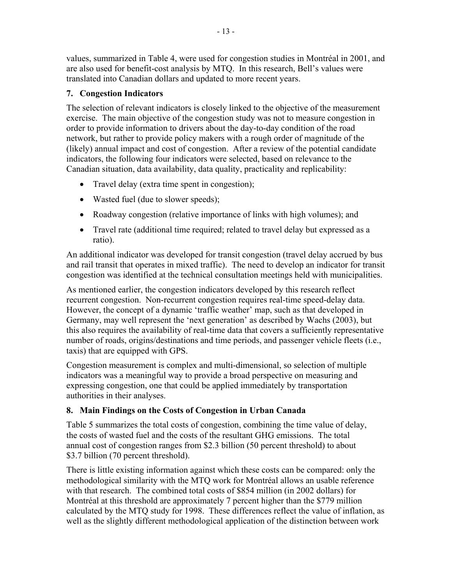<span id="page-15-0"></span>values, summarized in Table 4, were used for congestion studies in Montréal in 2001, and are also used for benefit-cost analysis by MTQ. In this research, Bell's values were translated into Canadian dollars and updated to more recent years.

## **7. Congestion Indicators**

The selection of relevant indicators is closely linked to the objective of the measurement exercise. The main objective of the congestion study was not to measure congestion in order to provide information to drivers about the day-to-day condition of the road network, but rather to provide policy makers with a rough order of magnitude of the (likely) annual impact and cost of congestion. After a review of the potential candidate indicators, the following four indicators were selected, based on relevance to the Canadian situation, data availability, data quality, practicality and replicability:

- Travel delay (extra time spent in congestion);
- Wasted fuel (due to slower speeds);
- ! Roadway congestion (relative importance of links with high volumes); and
- Travel rate (additional time required; related to travel delay but expressed as a ratio).

An additional indicator was developed for transit congestion (travel delay accrued by bus and rail transit that operates in mixed traffic). The need to develop an indicator for transit congestion was identified at the technical consultation meetings held with municipalities.

As mentioned earlier, the congestion indicators developed by this research reflect recurrent congestion. Non-recurrent congestion requires real-time speed-delay data. However, the concept of a dynamic 'traffic weather' map, such as that developed in Germany, may well represent the 'next generation' as described by Wachs (2003), but this also requires the availability of real-time data that covers a sufficiently representative number of roads, origins/destinations and time periods, and passenger vehicle fleets (i.e., taxis) that are equipped with GPS.

Congestion measurement is complex and multi-dimensional, so selection of multiple indicators was a meaningful way to provide a broad perspective on measuring and expressing congestion, one that could be applied immediately by transportation authorities in their analyses.

# **8. Main Findings on the Costs of Congestion in Urban Canada**

Table 5 summarizes the total costs of congestion, combining the time value of delay, the costs of wasted fuel and the costs of the resultant GHG emissions. The total annual cost of congestion ranges from \$2.3 billion (50 percent threshold) to about \$3.7 billion (70 percent threshold).

There is little existing information against which these costs can be compared: only the methodological similarity with the MTQ work for Montréal allows an usable reference with that research. The combined total costs of \$854 million (in 2002 dollars) for Montréal at this threshold are approximately 7 percent higher than the \$779 million calculated by the MTQ study for 1998. These differences reflect the value of inflation, as well as the slightly different methodological application of the distinction between work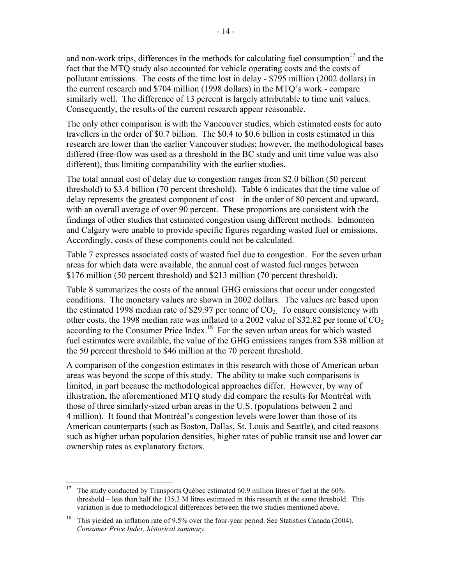and non-work trips, differences in the methods for calculating fuel consumption<sup>17</sup> and the fact that the MTQ study also accounted for vehicle operating costs and the costs of pollutant emissions. The costs of the time lost in delay - \$795 million (2002 dollars) in the current research and \$704 million (1998 dollars) in the MTQ's work - compare similarly well. The difference of 13 percent is largely attributable to time unit values. Consequently, the results of the current research appear reasonable.

The only other comparison is with the Vancouver studies, which estimated costs for auto travellers in the order of \$0.7 billion. The \$0.4 to \$0.6 billion in costs estimated in this research are lower than the earlier Vancouver studies; however, the methodological bases differed (free-flow was used as a threshold in the BC study and unit time value was also different), thus limiting comparability with the earlier studies.

The total annual cost of delay due to congestion ranges from \$2.0 billion (50 percent threshold) to \$3.4 billion (70 percent threshold).Table 6 indicates that the time value of delay represents the greatest component of cost – in the order of 80 percent and upward, with an overall average of over 90 percent. These proportions are consistent with the findings of other studies that estimated congestion using different methods. Edmonton and Calgary were unable to provide specific figures regarding wasted fuel or emissions. Accordingly, costs of these components could not be calculated.

Table 7 expresses associated costs of wasted fuel due to congestion. For the seven urban areas for which data were available, the annual cost of wasted fuel ranges between \$176 million (50 percent threshold) and \$213 million (70 percent threshold).

Table 8 summarizes the costs of the annual GHG emissions that occur under congested conditions. The monetary values are shown in 2002 dollars. The values are based upon the estimated 1998 median rate of \$29.97 per tonne of  $CO<sub>2</sub>$ . To ensure consistency with other costs, the 1998 median rate was inflated to a 2002 value of \$32.82 per tonne of  $CO<sub>2</sub>$ according to the Consumer Price Index.<sup>18</sup> For the seven urban areas for which wasted fuel estimates were available, the value of the GHG emissions ranges from \$38 million at the 50 percent threshold to \$46 million at the 70 percent threshold.

A comparison of the congestion estimates in this research with those of American urban areas was beyond the scope of this study. The ability to make such comparisons is limited, in part because the methodological approaches differ. However, by way of illustration, the aforementioned MTQ study did compare the results for Montréal with those of three similarly-sized urban areas in the U.S. (populations between 2 and 4 million). It found that Montréal's congestion levels were lower than those of its American counterparts (such as Boston, Dallas, St. Louis and Seattle), and cited reasons such as higher urban population densities, higher rates of public transit use and lower car ownership rates as explanatory factors.

<sup>&</sup>lt;sup>17</sup> The study conducted by Transports Québec estimated 60.9 million litres of fuel at the  $60\%$ threshold – less than half the 135.3 M litres estimated in this research at the same threshold. This variation is due to methodological differences between the two studies mentioned above.

<sup>&</sup>lt;sup>18</sup> This yielded an inflation rate of 9.5% over the four-year period. See Statistics Canada (2004). *Consumer Price Index, historical summary.*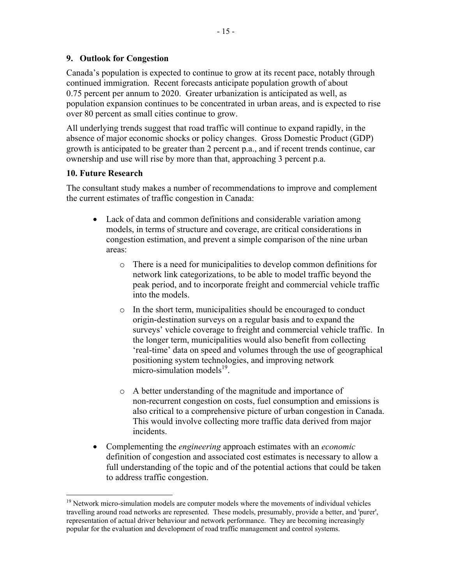<span id="page-17-0"></span>Canada's population is expected to continue to grow at its recent pace, notably through continued immigration. Recent forecasts anticipate population growth of about 0.75 percent per annum to 2020. Greater urbanization is anticipated as well, as population expansion continues to be concentrated in urban areas, and is expected to rise over 80 percent as small cities continue to grow.

All underlying trends suggest that road traffic will continue to expand rapidly, in the absence of major economic shocks or policy changes. Gross Domestic Product (GDP) growth is anticipated to be greater than 2 percent p.a., and if recent trends continue, car ownership and use will rise by more than that, approaching 3 percent p.a.

### **10. Future Research**

The consultant study makes a number of recommendations to improve and complement the current estimates of traffic congestion in Canada:

- Lack of data and common definitions and considerable variation among models, in terms of structure and coverage, are critical considerations in congestion estimation, and prevent a simple comparison of the nine urban areas:
	- o There is a need for municipalities to develop common definitions for network link categorizations, to be able to model traffic beyond the peak period, and to incorporate freight and commercial vehicle traffic into the models.
	- o In the short term, municipalities should be encouraged to conduct origin-destination surveys on a regular basis and to expand the surveys' vehicle coverage to freight and commercial vehicle traffic. In the longer term, municipalities would also benefit from collecting 'real-time' data on speed and volumes through the use of geographical positioning system technologies, and improving network micro-simulation models<sup>19</sup>.
	- o A better understanding of the magnitude and importance of non-recurrent congestion on costs, fuel consumption and emissions is also critical to a comprehensive picture of urban congestion in Canada. This would involve collecting more traffic data derived from major incidents.
- ! Complementing the *engineering* approach estimates with an *economic* definition of congestion and associated cost estimates is necessary to allow a full understanding of the topic and of the potential actions that could be taken to address traffic congestion.

<sup>&</sup>lt;u>.</u> <sup>19</sup> Network micro-simulation models are computer models where the movements of individual vehicles travelling around road networks are represented. These models, presumably, provide a better, and 'purer', representation of actual driver behaviour and network performance. They are becoming increasingly popular for the evaluation and development of road traffic management and control systems.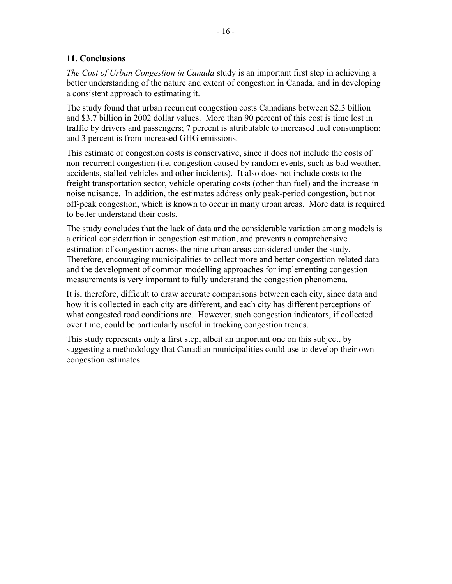### <span id="page-18-0"></span>**11. Conclusions**

*The Cost of Urban Congestion in Canada* study is an important first step in achieving a better understanding of the nature and extent of congestion in Canada, and in developing a consistent approach to estimating it.

The study found that urban recurrent congestion costs Canadians between \$2.3 billion and \$3.7 billion in 2002 dollar values. More than 90 percent of this cost is time lost in traffic by drivers and passengers; 7 percent is attributable to increased fuel consumption; and 3 percent is from increased GHG emissions.

This estimate of congestion costs is conservative, since it does not include the costs of non-recurrent congestion (i.e. congestion caused by random events, such as bad weather, accidents, stalled vehicles and other incidents). It also does not include costs to the freight transportation sector, vehicle operating costs (other than fuel) and the increase in noise nuisance. In addition, the estimates address only peak-period congestion, but not off-peak congestion, which is known to occur in many urban areas. More data is required to better understand their costs.

The study concludes that the lack of data and the considerable variation among models is a critical consideration in congestion estimation, and prevents a comprehensive estimation of congestion across the nine urban areas considered under the study. Therefore, encouraging municipalities to collect more and better congestion-related data and the development of common modelling approaches for implementing congestion measurements is very important to fully understand the congestion phenomena.

It is, therefore, difficult to draw accurate comparisons between each city, since data and how it is collected in each city are different, and each city has different perceptions of what congested road conditions are. However, such congestion indicators, if collected over time, could be particularly useful in tracking congestion trends.

This study represents only a first step, albeit an important one on this subject, by suggesting a methodology that Canadian municipalities could use to develop their own congestion estimates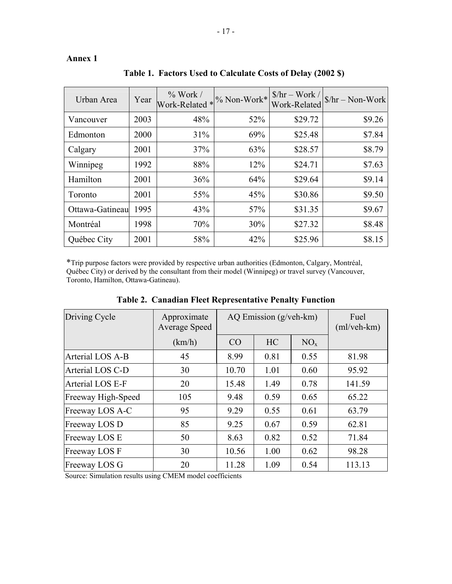### <span id="page-19-0"></span>**Annex 1**

| Urban Area      | Year | $\%$ Work /<br>Work-Related * % Non-Work* |     | $$/hr - Work /$<br>Work-Related | $$/hr - Non-Work$ |
|-----------------|------|-------------------------------------------|-----|---------------------------------|-------------------|
| Vancouver       | 2003 | 48%                                       | 52% | \$29.72                         | \$9.26            |
| Edmonton        | 2000 | 31%                                       | 69% | \$25.48                         | \$7.84            |
| Calgary         | 2001 | 37%                                       | 63% | \$28.57                         | \$8.79            |
| Winnipeg        | 1992 | 88%                                       | 12% | \$24.71                         | \$7.63            |
| Hamilton        | 2001 | 36%                                       | 64% | \$29.64                         | \$9.14            |
| Toronto         | 2001 | 55%                                       | 45% | \$30.86                         | \$9.50            |
| Ottawa-Gatineau | 1995 | 43%                                       | 57% | \$31.35                         | \$9.67            |
| Montréal        | 1998 | 70%                                       | 30% | \$27.32                         | \$8.48            |
| Québec City     | 2001 | 58%                                       | 42% | \$25.96                         | \$8.15            |

**Table 1. Factors Used to Calculate Costs of Delay (2002 \$)** 

\*Trip purpose factors were provided by respective urban authorities (Edmonton, Calgary, Montréal, Québec City) or derived by the consultant from their model (Winnipeg) or travel survey (Vancouver, Toronto, Hamilton, Ottawa-Gatineau).

| Driving Cycle      | Approximate<br>Average Speed | AQ Emission $(g/veh-km)$ |           |          | Fuel<br>$(ml/veh-km)$ |
|--------------------|------------------------------|--------------------------|-----------|----------|-----------------------|
|                    | (km/h)                       | CO                       | <b>HC</b> | $NO_{x}$ |                       |
| Arterial LOS A-B   | 45                           | 8.99                     | 0.81      | 0.55     | 81.98                 |
| Arterial LOS C-D   | 30                           | 10.70                    | 1.01      | 0.60     | 95.92                 |
| Arterial LOS E-F   | 20                           | 15.48                    | 1.49      | 0.78     | 141.59                |
| Freeway High-Speed | 105                          | 9.48                     | 0.59      | 0.65     | 65.22                 |
| Freeway LOS A-C    | 95                           | 9.29                     | 0.55      | 0.61     | 63.79                 |
| Freeway LOS D      | 85                           | 9.25                     | 0.67      | 0.59     | 62.81                 |
| Freeway LOS E      | 50                           | 8.63                     | 0.82      | 0.52     | 71.84                 |
| Freeway LOS F      | 30                           | 10.56                    | 1.00      | 0.62     | 98.28                 |
| Freeway LOS G      | 20                           | 11.28                    | 1.09      | 0.54     | 113.13                |

**Table 2. Canadian Fleet Representative Penalty Function**

Source: Simulation results using CMEM model coefficients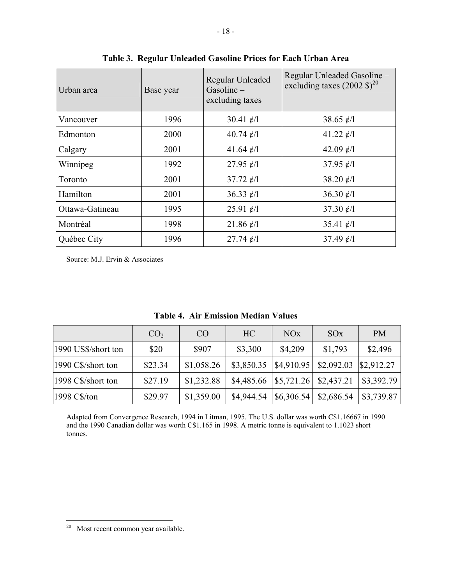| Urban area      | Base year | Regular Unleaded<br>Gasoline-<br>excluding taxes | Regular Unleaded Gasoline -<br>excluding taxes $(2002 \text{ } \frac{\pi}{6})^{20}$ |
|-----------------|-----------|--------------------------------------------------|-------------------------------------------------------------------------------------|
| Vancouver       | 1996      | 30.41 $\ell$ /1                                  | 38.65 $\ell$ /1                                                                     |
| Edmonton        | 2000      | 40.74 $\ell$ /1                                  | 41.22 $\ell$ /1                                                                     |
| Calgary         | 2001      | 41.64 $\ell$ /1                                  | 42.09 $\ell$ /1                                                                     |
| Winnipeg        | 1992      | 27.95 $\ell$ /1                                  | 37.95 $\ell$ /1                                                                     |
| Toronto         | 2001      | 37.72 $\ell$ /1                                  | 38.20 $\ell$ /1                                                                     |
| Hamilton        | 2001      | 36.33 $\ell$ /1                                  | 36.30 $\ell$ /1                                                                     |
| Ottawa-Gatineau | 1995      | 25.91 $\ell$ /1                                  | 37.30 $\ell$ /1                                                                     |
| Montréal        | 1998      | 21.86 $\ell$ /1                                  | 35.41 $\ell$ /1                                                                     |
| Québec City     | 1996      | $27.74 \; \epsilon/l$                            | 37.49 $\ell$ /1                                                                     |

**Table 3. Regular Unleaded Gasoline Prices for Each Urban Area** 

Source: M.J. Ervin & Associates

|  |  | <b>Table 4. Air Emission Median Values</b> |  |  |
|--|--|--------------------------------------------|--|--|
|--|--|--------------------------------------------|--|--|

|                     | CO <sub>2</sub> | <b>CO</b>  | HC                      | NO <sub>x</sub> | SOX        | <b>PM</b>  |
|---------------------|-----------------|------------|-------------------------|-----------------|------------|------------|
| 1990 US\$/short ton | \$20            | \$907      | \$3,300                 | \$4,209         | \$1,793    | \$2,496    |
| 1990 C\$/short ton  | \$23.34         | \$1,058.26 | \$3,850.35              | \$4,910.95      | \$2,092.03 | \$2,912.27 |
| 1998 C\$/short ton  | \$27.19         | \$1,232.88 | $$4,485.66$ $$5,721.26$ |                 | \$2,437.21 | \$3,392.79 |
| 1998 C\$/ton        | \$29.97         | \$1,359.00 | \$4,944.54              | \$6,306.54      | \$2,686.54 | \$3,739.87 |

Adapted from Convergence Research, 1994 in Litman, 1995. The U.S. dollar was worth C\$1.16667 in 1990 and the 1990 Canadian dollar was worth C\$1.165 in 1998. A metric tonne is equivalent to 1.1023 short tonnes.

 $20$  Most recent common year available.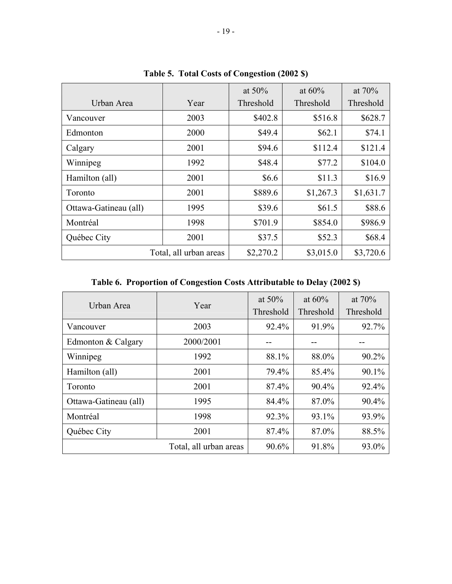| Urban Area            | Year                   | at $50\%$<br>Threshold | at $60\%$<br>Threshold | at $70\%$<br>Threshold |
|-----------------------|------------------------|------------------------|------------------------|------------------------|
| Vancouver             | 2003                   | \$402.8                | \$516.8                | \$628.7                |
| Edmonton              | 2000                   | \$49.4                 | \$62.1                 | \$74.1                 |
| Calgary               | 2001                   | \$94.6                 | \$112.4                | \$121.4                |
| Winnipeg              | 1992                   | \$48.4                 | \$77.2                 | \$104.0                |
| Hamilton (all)        | 2001                   | \$6.6                  | \$11.3                 | \$16.9                 |
| Toronto               | 2001                   | \$889.6                | \$1,267.3              | \$1,631.7              |
| Ottawa-Gatineau (all) | 1995                   | \$39.6                 | \$61.5                 | \$88.6                 |
| Montréal              | 1998                   | \$701.9                | \$854.0                | \$986.9                |
| Québec City           | 2001                   | \$37.5                 | \$52.3                 | \$68.4                 |
|                       | Total, all urban areas | \$2,270.2              | \$3,015.0              | \$3,720.6              |

**Table 5. Total Costs of Congestion (2002 \$)** 

**Table 6. Proportion of Congestion Costs Attributable to Delay (2002 \$)** 

| Urban Area            | Year                   | at $50\%$<br>Threshold | at $60\%$<br>Threshold | at $70\%$<br>Threshold |
|-----------------------|------------------------|------------------------|------------------------|------------------------|
| Vancouver             | 2003                   | 92.4%                  | 91.9%                  | 92.7%                  |
| Edmonton & Calgary    | 2000/2001              |                        |                        |                        |
| Winnipeg              | 1992                   | 88.1%                  | 88.0%                  | 90.2%                  |
| Hamilton (all)        | 2001                   | 79.4%                  | 85.4%                  | 90.1%                  |
| Toronto               | 2001                   | 87.4%                  | 90.4%                  | 92.4%                  |
| Ottawa-Gatineau (all) | 1995                   | 84.4%                  | 87.0%                  | 90.4%                  |
| Montréal              | 1998                   | 92.3%                  | 93.1%                  | 93.9%                  |
| Québec City           | 2001                   | 87.4%                  | 87.0%                  | 88.5%                  |
|                       | Total, all urban areas | 90.6%                  | 91.8%                  | 93.0%                  |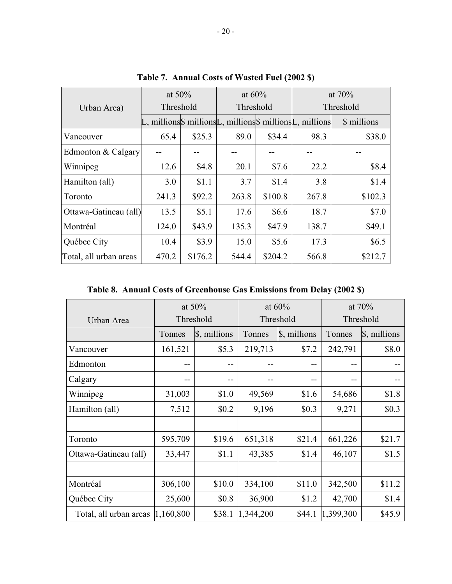|                        | at $50\%$ |         | at $60\%$ |         | at $70%$                                                               |             |
|------------------------|-----------|---------|-----------|---------|------------------------------------------------------------------------|-------------|
| Urban Area)            | Threshold |         | Threshold |         |                                                                        | Threshold   |
|                        |           |         |           |         | $L$ , millions $\$ millions $L$ , millions $\$ millions $L$ , millions | \$ millions |
| Vancouver              | 65.4      | \$25.3  | 89.0      | \$34.4  | 98.3                                                                   | \$38.0      |
| Edmonton & Calgary     |           |         |           |         |                                                                        |             |
| Winnipeg               | 12.6      | \$4.8   | 20.1      | \$7.6   | 22.2                                                                   | \$8.4       |
| Hamilton (all)         | 3.0       | \$1.1   | 3.7       | \$1.4   | 3.8                                                                    | \$1.4       |
| Toronto                | 241.3     | \$92.2  | 263.8     | \$100.8 | 267.8                                                                  | \$102.3     |
| Ottawa-Gatineau (all)  | 13.5      | \$5.1   | 17.6      | \$6.6   | 18.7                                                                   | \$7.0       |
| Montréal               | 124.0     | \$43.9  | 135.3     | \$47.9  | 138.7                                                                  | \$49.1      |
| Québec City            | 10.4      | \$3.9   | 15.0      | \$5.6   | 17.3                                                                   | \$6.5       |
| Total, all urban areas | 470.2     | \$176.2 | 544.4     | \$204.2 | 566.8                                                                  | \$212.7     |

**Table 7. Annual Costs of Wasted Fuel (2002 \$)** 

**Table 8. Annual Costs of Greenhouse Gas Emissions from Delay (2002 \$)** 

|                        | at $50\%$ |              | at $60\%$ |              | at $70%$  |              |  |
|------------------------|-----------|--------------|-----------|--------------|-----------|--------------|--|
| Urban Area             | Threshold |              |           | Threshold    |           | Threshold    |  |
|                        | Tonnes    | \$, millions | Tonnes    | \$, millions | Tonnes    | \$, millions |  |
| Vancouver              | 161,521   | \$5.3        | 219,713   | \$7.2        | 242,791   | \$8.0        |  |
| Edmonton               | --        | --           | $-$       | $- -$        | $-$       |              |  |
| Calgary                | --        | --           |           | --           |           |              |  |
| Winnipeg               | 31,003    | \$1.0        | 49,569    | \$1.6        | 54,686    | \$1.8        |  |
| Hamilton (all)         | 7,512     | \$0.2        | 9,196     | \$0.3        | 9,271     | \$0.3        |  |
|                        |           |              |           |              |           |              |  |
| Toronto                | 595,709   | \$19.6       | 651,318   | \$21.4       | 661,226   | \$21.7       |  |
| Ottawa-Gatineau (all)  | 33,447    | \$1.1        | 43,385    | \$1.4        | 46,107    | \$1.5        |  |
|                        |           |              |           |              |           |              |  |
| Montréal               | 306,100   | \$10.0       | 334,100   | \$11.0       | 342,500   | \$11.2       |  |
| Québec City            | 25,600    | \$0.8        | 36,900    | \$1.2        | 42,700    | \$1.4        |  |
| Total, all urban areas | 1,160,800 | \$38.1       | 1,344,200 | \$44.1       | 1,399,300 | \$45.9       |  |